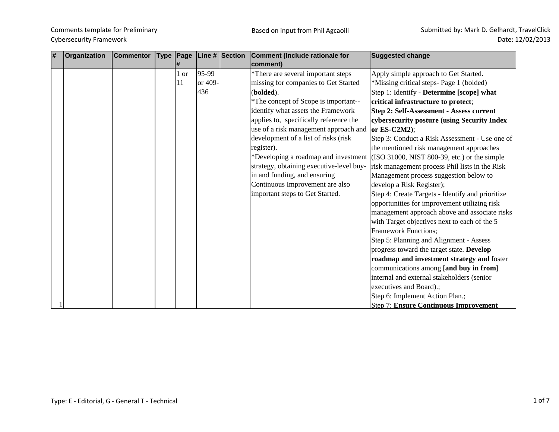| # | Organization | <b>Commentor</b> | 1#            |         | Type Page Line # Section | Comment (Include rationale for<br>comment)               | <b>Suggested change</b>                                                           |
|---|--------------|------------------|---------------|---------|--------------------------|----------------------------------------------------------|-----------------------------------------------------------------------------------|
|   |              |                  | 1 or          | 95-99   |                          | *There are several important steps                       | Apply simple approach to Get Started.                                             |
|   |              |                  | <sup>11</sup> | or 409- |                          | missing for companies to Get Started                     | *Missing critical steps- Page 1 (bolded)                                          |
|   |              |                  |               | 436     |                          | (bolded).                                                | Step 1: Identify - Determine [scope] what                                         |
|   |              |                  |               |         |                          | *The concept of Scope is important--                     | critical infrastructure to protect;                                               |
|   |              |                  |               |         |                          | identify what assets the Framework                       | Step 2: Self-Assessment - Assess current                                          |
|   |              |                  |               |         |                          | applies to, specifically reference the                   | cybersecurity posture (using Security Index                                       |
|   |              |                  |               |         |                          | use of a risk management approach and $\alpha$ ES-C2M2); |                                                                                   |
|   |              |                  |               |         |                          | development of a list of risks (risk                     | Step 3: Conduct a Risk Assessment - Use one of                                    |
|   |              |                  |               |         |                          | register).                                               | the mentioned risk management approaches                                          |
|   |              |                  |               |         |                          |                                                          | *Developing a roadmap and investment (ISO 31000, NIST 800-39, etc.) or the simple |
|   |              |                  |               |         |                          | strategy, obtaining executive-level buy-                 | risk management process Phil lists in the Risk                                    |
|   |              |                  |               |         |                          | in and funding, and ensuring                             | Management process suggestion below to                                            |
|   |              |                  |               |         |                          | Continuous Improvement are also                          | develop a Risk Register);                                                         |
|   |              |                  |               |         |                          | important steps to Get Started.                          | Step 4: Create Targets - Identify and prioritize                                  |
|   |              |                  |               |         |                          |                                                          | opportunities for improvement utilizing risk                                      |
|   |              |                  |               |         |                          |                                                          | management approach above and associate risks                                     |
|   |              |                  |               |         |                          |                                                          | with Target objectives next to each of the 5                                      |
|   |              |                  |               |         |                          |                                                          | <b>Framework Functions;</b>                                                       |
|   |              |                  |               |         |                          |                                                          | Step 5: Planning and Alignment - Assess                                           |
|   |              |                  |               |         |                          |                                                          | progress toward the target state. Develop                                         |
|   |              |                  |               |         |                          |                                                          | roadmap and investment strategy and foster                                        |
|   |              |                  |               |         |                          |                                                          | communications among [and buy in from]                                            |
|   |              |                  |               |         |                          |                                                          | internal and external stakeholders (senior                                        |
|   |              |                  |               |         |                          |                                                          | executives and Board).;                                                           |
|   |              |                  |               |         |                          |                                                          | Step 6: Implement Action Plan.;                                                   |
|   |              |                  |               |         |                          |                                                          | <b>Step 7: Ensure Continuous Improvement</b>                                      |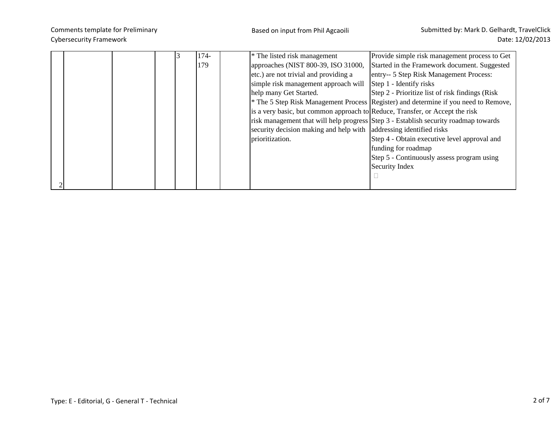|  |  | 174- | <sup>*</sup> The listed risk management                                      | Provide simple risk management process to Get                                                  |
|--|--|------|------------------------------------------------------------------------------|------------------------------------------------------------------------------------------------|
|  |  | 179  | approaches (NIST 800-39, ISO 31000,                                          | Started in the Framework document. Suggested                                                   |
|  |  |      | etc.) are not trivial and providing a                                        | entry-- 5 Step Risk Management Process:                                                        |
|  |  |      | simple risk management approach will                                         | Step 1 - Identify risks                                                                        |
|  |  |      | help many Get Started.                                                       | Step 2 - Prioritize list of risk findings (Risk)                                               |
|  |  |      |                                                                              | <sup>*</sup> The 5 Step Risk Management Process Register) and determine if you need to Remove, |
|  |  |      | is a very basic, but common approach to Reduce, Transfer, or Accept the risk |                                                                                                |
|  |  |      |                                                                              | risk management that will help progress Step 3 - Establish security roadmap towards            |
|  |  |      | security decision making and help with addressing identified risks           |                                                                                                |
|  |  |      | prioritization.                                                              | Step 4 - Obtain executive level approval and                                                   |
|  |  |      |                                                                              | funding for roadmap                                                                            |
|  |  |      |                                                                              | Step 5 - Continuously assess program using                                                     |
|  |  |      |                                                                              | Security Index                                                                                 |
|  |  |      |                                                                              |                                                                                                |
|  |  |      |                                                                              |                                                                                                |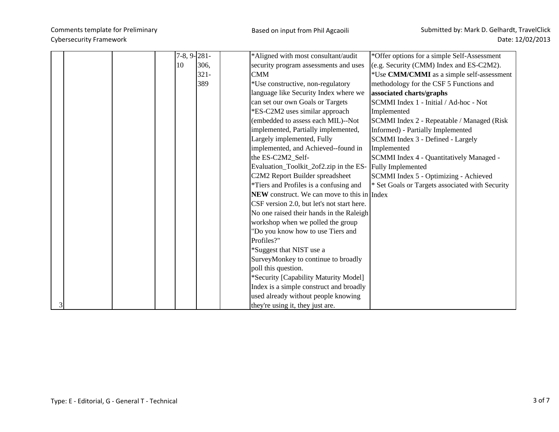|   |  |    | $7-8, 9-281-$ | *Aligned with most consultant/audit                      | *Offer options for a simple Self-Assessment     |
|---|--|----|---------------|----------------------------------------------------------|-------------------------------------------------|
|   |  | 10 | 306,          | security program assessments and uses                    | (e.g. Security (CMM) Index and ES-C2M2).        |
|   |  |    | $321 -$       | <b>CMM</b>                                               | *Use CMM/CMMI as a simple self-assessment       |
|   |  |    | 389           | *Use constructive, non-regulatory                        | methodology for the CSF 5 Functions and         |
|   |  |    |               | language like Security Index where we                    | associated charts/graphs                        |
|   |  |    |               | can set our own Goals or Targets                         | SCMMI Index 1 - Initial / Ad-hoc - Not          |
|   |  |    |               | *ES-C2M2 uses similar approach                           | Implemented                                     |
|   |  |    |               | (embedded to assess each MIL)--Not                       | SCMMI Index 2 - Repeatable / Managed (Risk      |
|   |  |    |               | implemented, Partially implemented,                      | Informed) - Partially Implemented               |
|   |  |    |               | Largely implemented, Fully                               | SCMMI Index 3 - Defined - Largely               |
|   |  |    |               | implemented, and Achieved--found in                      | Implemented                                     |
|   |  |    |               | the ES-C2M2_Self-                                        | SCMMI Index 4 - Quantitatively Managed -        |
|   |  |    |               | Evaluation_Toolkit_2of2.zip in the ES- Fully Implemented |                                                 |
|   |  |    |               | C2M2 Report Builder spreadsheet                          | SCMMI Index 5 - Optimizing - Achieved           |
|   |  |    |               | *Tiers and Profiles is a confusing and                   | * Set Goals or Targets associated with Security |
|   |  |    |               | <b>NEW</b> construct. We can move to this in Index       |                                                 |
|   |  |    |               | CSF version 2.0, but let's not start here.               |                                                 |
|   |  |    |               | No one raised their hands in the Raleigh                 |                                                 |
|   |  |    |               | workshop when we polled the group                        |                                                 |
|   |  |    |               | "Do you know how to use Tiers and                        |                                                 |
|   |  |    |               | Profiles?"                                               |                                                 |
|   |  |    |               | *Suggest that NIST use a                                 |                                                 |
|   |  |    |               | SurveyMonkey to continue to broadly                      |                                                 |
|   |  |    |               | poll this question.                                      |                                                 |
|   |  |    |               | *Security [Capability Maturity Model]                    |                                                 |
|   |  |    |               | Index is a simple construct and broadly                  |                                                 |
|   |  |    |               | used already without people knowing                      |                                                 |
| 3 |  |    |               | they're using it, they just are.                         |                                                 |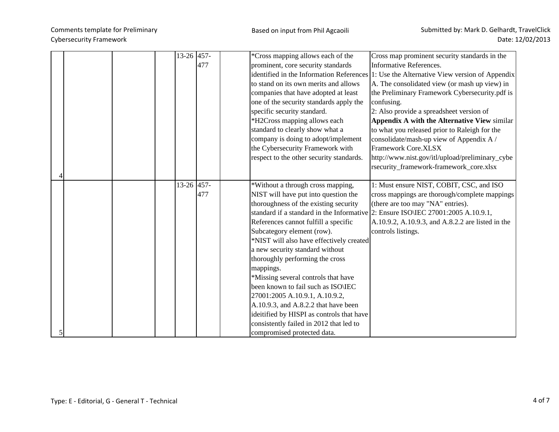|   |  | 13-26 457- | 477 | *Cross mapping allows each of the<br>prominent, core security standards<br>to stand on its own merits and allows<br>companies that have adopted at least<br>one of the security standards apply the<br>specific security standard.<br>*H2Cross mapping allows each<br>standard to clearly show what a<br>company is doing to adopt/implement<br>the Cybersecurity Framework with                                                                                                                                                                                                                      | Cross map prominent security standards in the<br>Informative References.<br>identified in the Information References 1: Use the Alternative View version of Appendix<br>A. The consolidated view (or mash up view) in<br>the Preliminary Framework Cybersecurity.pdf is<br>confusing.<br>2: Also provide a spreadsheet version of<br><b>Appendix A with the Alternative View similar</b><br>to what you released prior to Raleigh for the<br>consolidate/mash-up view of Appendix A /<br><b>Framework Core.XLSX</b> |
|---|--|------------|-----|-------------------------------------------------------------------------------------------------------------------------------------------------------------------------------------------------------------------------------------------------------------------------------------------------------------------------------------------------------------------------------------------------------------------------------------------------------------------------------------------------------------------------------------------------------------------------------------------------------|---------------------------------------------------------------------------------------------------------------------------------------------------------------------------------------------------------------------------------------------------------------------------------------------------------------------------------------------------------------------------------------------------------------------------------------------------------------------------------------------------------------------|
|   |  |            |     | respect to the other security standards.                                                                                                                                                                                                                                                                                                                                                                                                                                                                                                                                                              | http://www.nist.gov/itl/upload/preliminary_cybe<br>rsecurity_framework-framework_core.xlsx                                                                                                                                                                                                                                                                                                                                                                                                                          |
| 5 |  | 13-26 457- | 477 | *Without a through cross mapping,<br>NIST will have put into question the<br>thoroughness of the existing security<br>References cannot fulfill a specific<br>Subcategory element (row).<br>*NIST will also have effectively created<br>a new security standard without<br>thoroughly performing the cross<br>mappings.<br>*Missing several controls that have<br>been known to fail such as ISO\IEC<br>27001:2005 A.10.9.1, A.10.9.2,<br>A.10.9.3, and A.8.2.2 that have been<br>ideitified by HISPI as controls that have<br>consistently failed in 2012 that led to<br>compromised protected data. | 1: Must ensure NIST, COBIT, CSC, and ISO<br>cross mappings are thorough/complete mappings<br>(there are too may "NA" entries).<br>standard if a standard in the Informative 2: Ensure ISO IEC 27001:2005 A.10.9.1,<br>A.10.9.2, A.10.9.3, and A.8.2.2 are listed in the<br>controls listings.                                                                                                                                                                                                                       |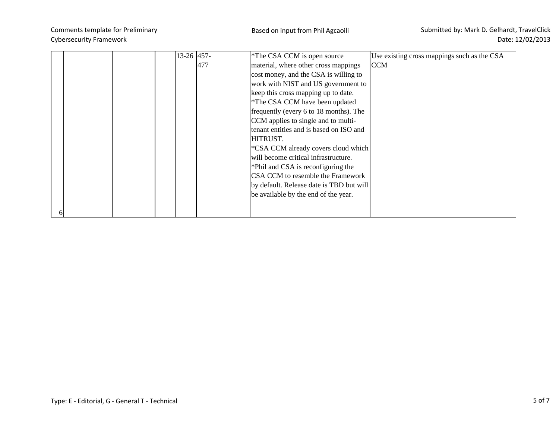|  |  | $13-26$ 457- |     | *The CSA CCM is open source              | Use existing cross mappings such as the CSA |
|--|--|--------------|-----|------------------------------------------|---------------------------------------------|
|  |  |              |     |                                          |                                             |
|  |  |              | 477 | material, where other cross mappings     | <b>CCM</b>                                  |
|  |  |              |     | cost money, and the CSA is willing to    |                                             |
|  |  |              |     | work with NIST and US government to      |                                             |
|  |  |              |     | keep this cross mapping up to date.      |                                             |
|  |  |              |     | *The CSA CCM have been updated           |                                             |
|  |  |              |     | frequently (every 6 to 18 months). The   |                                             |
|  |  |              |     | CCM applies to single and to multi-      |                                             |
|  |  |              |     | tenant entities and is based on ISO and  |                                             |
|  |  |              |     | HITRUST.                                 |                                             |
|  |  |              |     | *CSA CCM already covers cloud which      |                                             |
|  |  |              |     | will become critical infrastructure.     |                                             |
|  |  |              |     | *Phil and CSA is reconfiguring the       |                                             |
|  |  |              |     | CSA CCM to resemble the Framework        |                                             |
|  |  |              |     | by default. Release date is TBD but will |                                             |
|  |  |              |     | be available by the end of the year.     |                                             |
|  |  |              |     |                                          |                                             |
|  |  |              |     |                                          |                                             |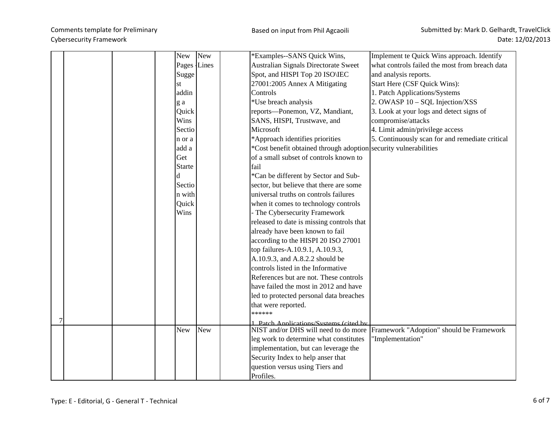| <b>New</b><br>New<br>*Examples--SANS Quick Wins,                                                    | Implement te Quick Wins approach. Identify      |
|-----------------------------------------------------------------------------------------------------|-------------------------------------------------|
|                                                                                                     |                                                 |
| Pages Lines<br>Australian Signals Directorate Sweet                                                 | what controls failed the most from breach data  |
| Spot, and HISPI Top 20 ISO\IEC<br>and analysis reports.<br>Sugge                                    |                                                 |
| 27001:2005 Annex A Mitigating<br>Start Here (CSF Quick Wins):<br>st                                 |                                                 |
| addin<br>Controls<br>1. Patch Applications/Systems                                                  |                                                 |
| 2. OWASP 10 - SQL Injection/XSS<br>*Use breach analysis<br>g a                                      |                                                 |
| Quick<br>reports-Ponemon, VZ, Mandiant,                                                             | 3. Look at your logs and detect signs of        |
| compromise/attacks<br>Wins<br>SANS, HISPI, Trustwave, and                                           |                                                 |
| Microsoft<br>4. Limit admin/privilege access<br>Sectio                                              |                                                 |
| *Approach identifies priorities<br>n or a                                                           | 5. Continuously scan for and remediate critical |
| *Cost benefit obtained through adoption security vulnerabilities<br>add a                           |                                                 |
| of a small subset of controls known to<br>Get                                                       |                                                 |
| <b>Starte</b><br>fail                                                                               |                                                 |
| *Can be different by Sector and Sub-<br>d                                                           |                                                 |
| Sectio<br>sector, but believe that there are some                                                   |                                                 |
| universal truths on controls failures<br>n with                                                     |                                                 |
| Quick<br>when it comes to technology controls                                                       |                                                 |
| Wins<br>- The Cybersecurity Framework                                                               |                                                 |
| released to date is missing controls that                                                           |                                                 |
| already have been known to fail                                                                     |                                                 |
| according to the HISPI 20 ISO 27001                                                                 |                                                 |
| top failures-A.10.9.1, A.10.9.3,                                                                    |                                                 |
| A.10.9.3, and A.8.2.2 should be                                                                     |                                                 |
| controls listed in the Informative                                                                  |                                                 |
| References but are not. These controls                                                              |                                                 |
| have failed the most in 2012 and have                                                               |                                                 |
| led to protected personal data breaches                                                             |                                                 |
|                                                                                                     |                                                 |
| that were reported.<br>******                                                                       |                                                 |
|                                                                                                     |                                                 |
| 1 Patch Annlications/Systems (cited by<br>NIST and/or DHS will need to do more<br>New<br><b>New</b> | Framework "Adoption" should be Framework        |
| leg work to determine what constitutes<br>'Implementation"                                          |                                                 |
| implementation, but can leverage the                                                                |                                                 |
| Security Index to help anser that                                                                   |                                                 |
| question versus using Tiers and                                                                     |                                                 |
|                                                                                                     |                                                 |